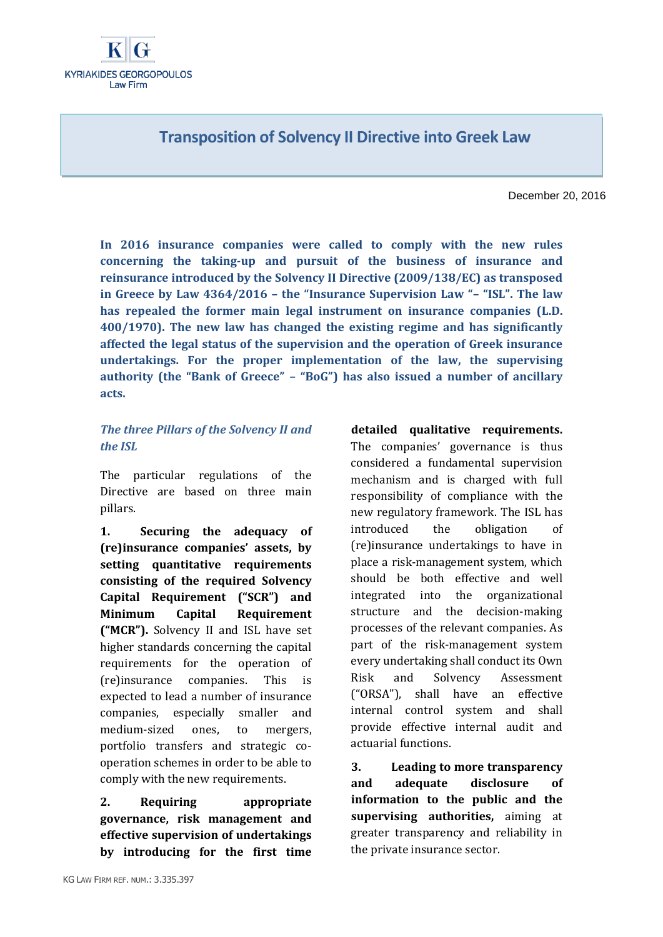# **Transposition of Solvency II Directive into Greek Law**

December 20, 2016

**In 2016 insurance companies were called to comply with the new rules concerning the taking-up and pursuit of the business of insurance and reinsurance introduced by the Solvency II Directive (2009/138/EC) as transposed in Greece by Law 4364/2016 – the "Insurance Supervision Law "– "ISL". The law has repealed the former main legal instrument on insurance companies (L.D. 400/1970). The new law has changed the existing regime and has significantly affected the legal status of the supervision and the operation of Greek insurance undertakings. For the proper implementation of the law, the supervising authority (the "Bank of Greece" – "BoG") has also issued a number of ancillary acts.** 

### *The three Pillars of the Solvency II and the ISL*

The particular regulations of the Directive are based on three main pillars.

**1. Securing the adequacy of (re)insurance companies' assets, by setting quantitative requirements consisting of the required Solvency Capital Requirement ("SCR") and Minimum Capital Requirement ("MCR").** Solvency II and ISL have set higher standards concerning the capital requirements for the operation of (re)insurance companies. This is expected to lead a number of insurance companies, especially smaller and medium-sized ones, to mergers, portfolio transfers and strategic cooperation schemes in order to be able to comply with the new requirements.

**2. Requiring appropriate governance, risk management and effective supervision of undertakings by introducing for the first time**  **detailed qualitative requirements.** The companies' governance is thus considered a fundamental supervision mechanism and is charged with full responsibility of compliance with the new regulatory framework. The ISL has introduced the obligation of (re)insurance undertakings to have in place a risk-management system, which should be both effective and well integrated into the organizational structure and the decision-making processes of the relevant companies. As part of the risk-management system every undertaking shall conduct its Own Risk and Solvency Assessment ("ORSA"), shall have an effective internal control system and shall provide effective internal audit and actuarial functions.

**3. Leading to more transparency and adequate disclosure of information to the public and the supervising authorities,** aiming at greater transparency and reliability in the private insurance sector.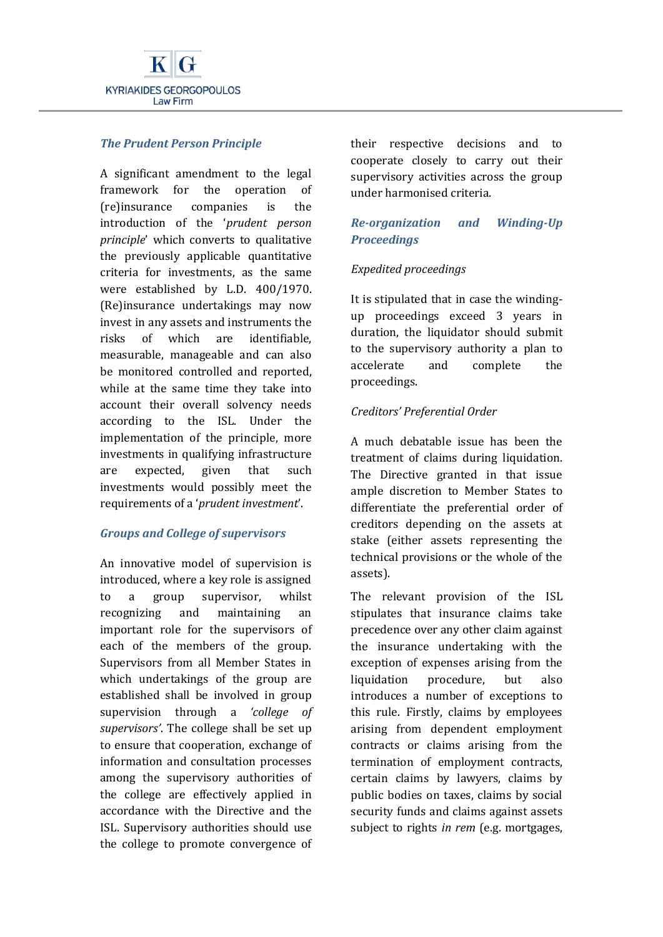

### *The Prudent Person Principle*

A significant amendment to the legal framework for the operation of (re)insurance companies is the introduction of the '*prudent person principle*' which converts to qualitative the previously applicable quantitative criteria for investments, as the same were established by L.D. 400/1970. (Re)insurance undertakings may now invest in any assets and instruments the risks of which are identifiable, measurable, manageable and can also be monitored controlled and reported, while at the same time they take into account their overall solvency needs according to the ISL. Under the implementation of the principle, more investments in qualifying infrastructure are expected, given that such investments would possibly meet the requirements of a '*prudent investment*'.

### *Groups and College of supervisors*

An innovative model of supervision is introduced, where a key role is assigned to a group supervisor, whilst recognizing and maintaining an important role for the supervisors of each of the members of the group. Supervisors from all Member States in which undertakings of the group are established shall be involved in group supervision through a *'college of supervisors'*. The college shall be set up to ensure that cooperation, exchange of information and consultation processes among the supervisory authorities of the college are effectively applied in accordance with the Directive and the ISL. Supervisory authorities should use the college to promote convergence of

their respective decisions and to cooperate closely to carry out their supervisory activities across the group under harmonised criteria.

## *Re-organization and Winding-Up Proceedings*

### *Expedited proceedings*

It is stipulated that in case the windingup proceedings exceed 3 years in duration, the liquidator should submit to the supervisory authority a plan to accelerate and complete the proceedings.

### *Creditors' Preferential Order*

A much debatable issue has been the treatment of claims during liquidation. The Directive granted in that issue ample discretion to Member States to differentiate the preferential order of creditors depending on the assets at stake (either assets representing the technical provisions or the whole of the assets).

The relevant provision of the ISL stipulates that insurance claims take precedence over any other claim against the insurance undertaking with the exception of expenses arising from the liquidation procedure, but also introduces a number of exceptions to this rule. Firstly, claims by employees arising from dependent employment contracts or claims arising from the termination of employment contracts, certain claims by lawyers, claims by public bodies on taxes, claims by social security funds and claims against assets subject to rights *in rem* (e.g. mortgages,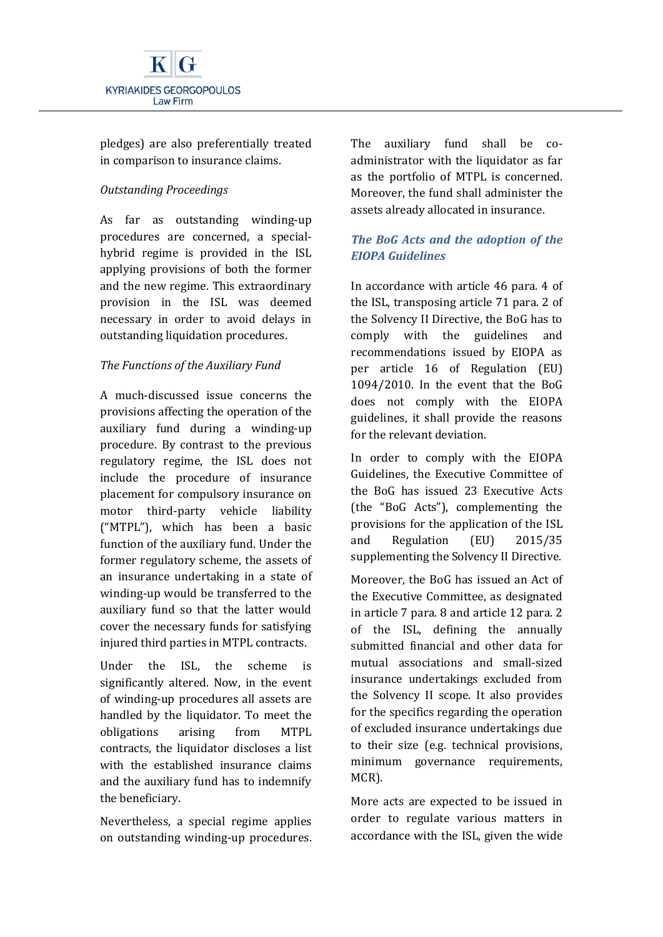

pledges) are also preferentially treated in comparison to insurance claims.

### *Outstanding Proceedings*

As far as outstanding winding-up procedures are concerned, a specialhybrid regime is provided in the ISL applying provisions of both the former and the new regime. This extraordinary provision in the ISL was deemed necessary in order to avoid delays in outstanding liquidation procedures.

### *The Functions of the Auxiliary Fund*

A much-discussed issue concerns the provisions affecting the operation of the auxiliary fund during a winding-up procedure. By contrast to the previous regulatory regime, the ISL does not include the procedure of insurance placement for compulsory insurance on motor third-party vehicle liability ("MTPL"), which has been a basic function of the auxiliary fund. Under the former regulatory scheme, the assets of an insurance undertaking in a state of winding-up would be transferred to the auxiliary fund so that the latter would cover the necessary funds for satisfying injured third parties in MTPL contracts.

Under the ISL, the scheme is significantly altered. Now, in the event of winding-up procedures all assets are handled by the liquidator. To meet the obligations arising from MTPL contracts, the liquidator discloses a list with the established insurance claims and the auxiliary fund has to indemnify the beneficiary.

Nevertheless, a special regime applies on outstanding winding-up procedures. The auxiliary fund shall be coadministrator with the liquidator as far as the portfolio of MTPL is concerned. Moreover, the fund shall administer the assets already allocated in insurance.

## *The BoG Acts and the adoption of the EIOPA Guidelines*

In accordance with article 46 para. 4 of the ISL, transposing article 71 para. 2 of the Solvency II Directive, the BoG has to comply with the guidelines and recommendations issued by EIOPA as per article 16 of Regulation (EU) 1094/2010. In the event that the BoG does not comply with the EIOPA guidelines, it shall provide the reasons for the relevant deviation.

In order to comply with the EIOPA Guidelines, the Executive Committee of the BoG has issued 23 Executive Acts (the "BoG Acts"), complementing the provisions for the application of the ISL and Regulation (EU) 2015/35 supplementing the Solvency II Directive.

Moreover, the BoG has issued an Act of the Executive Committee, as designated in article 7 para. 8 and article 12 para. 2 of the ISL, defining the annually submitted financial and other data for mutual associations and small-sized insurance undertakings excluded from the Solvency II scope. It also provides for the specifics regarding the operation of excluded insurance undertakings due to their size (e.g. technical provisions, minimum governance requirements, MCR).

More acts are expected to be issued in order to regulate various matters in accordance with the ISL, given the wide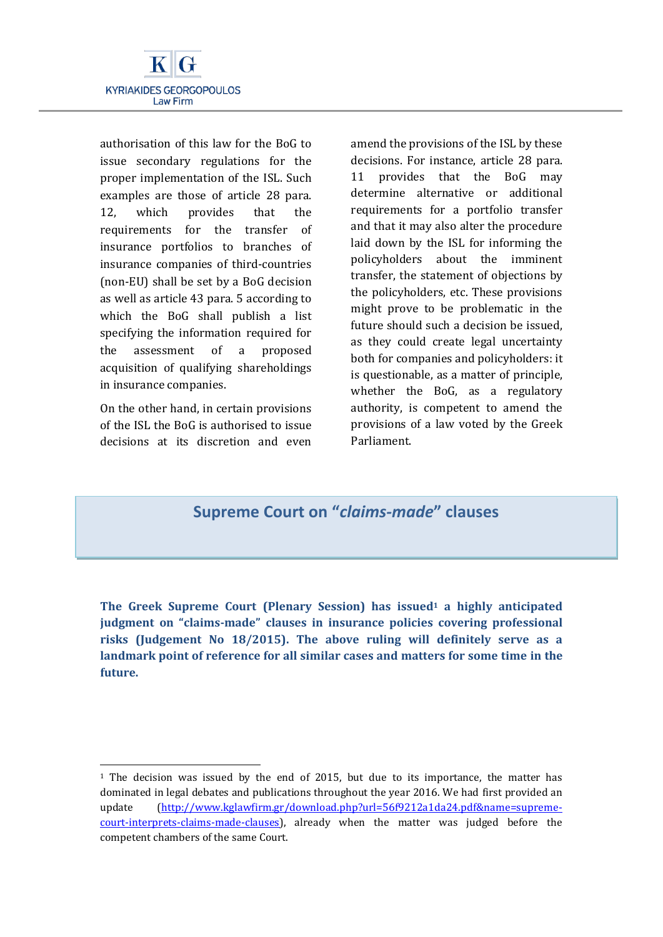

authorisation of this law for the BoG to issue secondary regulations for the proper implementation of the ISL. Such examples are those of article 28 para. 12, which provides that the requirements for the transfer of insurance portfolios to branches of insurance companies of third-countries (non-EU) shall be set by a BoG decision as well as article 43 para. 5 according to which the BoG shall publish a list specifying the information required for the assessment of a proposed acquisition of qualifying shareholdings in insurance companies.

On the other hand, in certain provisions of the ISL the BoG is authorised to issue decisions at its discretion and even

**.** 

amend the provisions of the ISL by these decisions. For instance, article 28 para. 11 provides that the BoG may determine alternative or additional requirements for a portfolio transfer and that it may also alter the procedure laid down by the ISL for informing the policyholders about the imminent transfer, the statement of objections by the policyholders, etc. These provisions might prove to be problematic in the future should such a decision be issued, as they could create legal uncertainty both for companies and policyholders: it is questionable, as a matter of principle, whether the BoG, as a regulatory authority, is competent to amend the provisions of a law voted by the Greek Parliament.

# **Supreme Court on "***claims-made***" clauses**

**The Greek Supreme Court (Plenary Session) has issued<sup>1</sup> a highly anticipated judgment on "claims-made" clauses in insurance policies covering professional risks (Judgement No 18/2015). The above ruling will definitely serve as a landmark point of reference for all similar cases and matters for some time in the future.**

<sup>&</sup>lt;sup>1</sup> The decision was issued by the end of 2015, but due to its importance, the matter has dominated in legal debates and publications throughout the year 2016. We had first provided an update [\(http://www.kglawfirm.gr/download.php?url=56f9212a1da24.pdf&name=supreme](http://www.kglawfirm.gr/download.php?url=56f9212a1da24.pdf&name=supreme-court-interprets-claims-made-clauses)[court-interprets-claims-made-clauses\)](http://www.kglawfirm.gr/download.php?url=56f9212a1da24.pdf&name=supreme-court-interprets-claims-made-clauses), already when the matter was judged before the competent chambers of the same Court.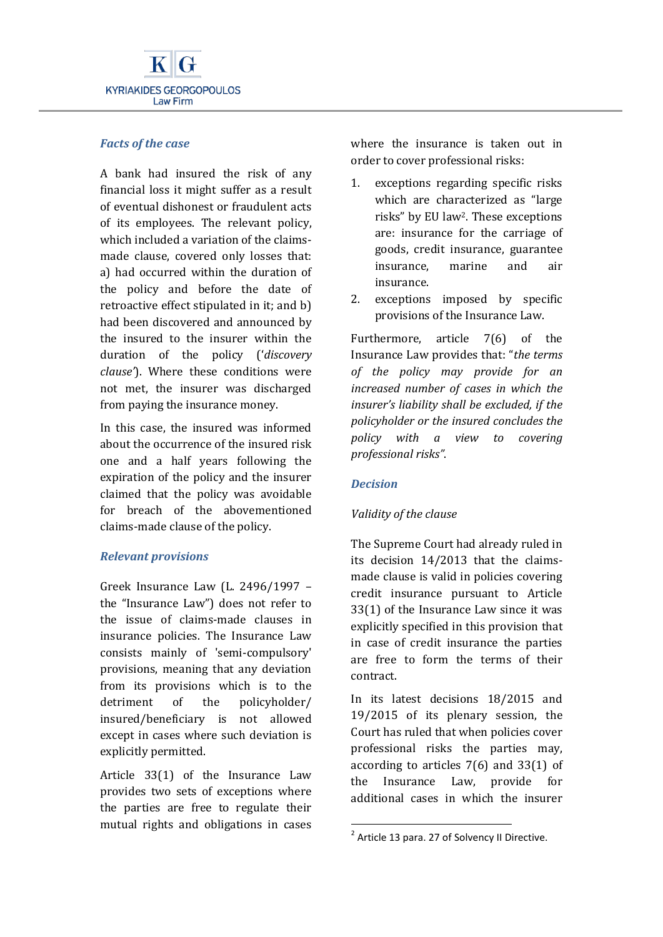

### *Facts of the case*

A bank had insured the risk of any financial loss it might suffer as a result of eventual dishonest or fraudulent acts of its employees. The relevant policy, which included a variation of the claimsmade clause, covered only losses that: a) had occurred within the duration of the policy and before the date of retroactive effect stipulated in it; and b) had been discovered and announced by the insured to the insurer within the duration of the policy ('*discovery clause'*). Where these conditions were not met, the insurer was discharged from paying the insurance money.

In this case, the insured was informed about the occurrence of the insured risk one and a half years following the expiration of the policy and the insurer claimed that the policy was avoidable for breach of the abovementioned claims-made clause of the policy.

### *Relevant provisions*

Greek Insurance Law (L. 2496/1997 – the "Insurance Law") does not refer to the issue of claims-made clauses in insurance policies. The Insurance Law consists mainly of 'semi-compulsory' provisions, meaning that any deviation from its provisions which is to the detriment of the policyholder/ insured/beneficiary is not allowed except in cases where such deviation is explicitly permitted.

Article 33(1) of the Insurance Law provides two sets of exceptions where the parties are free to regulate their mutual rights and obligations in cases where the insurance is taken out in order to cover professional risks:

- 1. exceptions regarding specific risks which are characterized as "large risks" by EU law2. These exceptions are: insurance for the carriage of goods, credit insurance, guarantee insurance, marine and air insurance.
- 2. exceptions imposed by specific provisions of the Insurance Law.

Furthermore, article 7(6) of the Insurance Law provides that: "*the terms of the policy may provide for an increased number of cases in which the insurer's liability shall be excluded, if the policyholder or the insured concludes the policy with a view to covering professional risks"*.

## *Decision*

1

## *Validity of the clause*

The Supreme Court had already ruled in its decision 14/2013 that the claimsmade clause is valid in policies covering credit insurance pursuant to Article 33(1) of the Insurance Law since it was explicitly specified in this provision that in case of credit insurance the parties are free to form the terms of their contract.

In its latest decisions 18/2015 and 19/2015 of its plenary session, the Court has ruled that when policies cover professional risks the parties may, according to articles 7(6) and 33(1) of the Insurance Law, provide for additional cases in which the insurer

 $2$  Article 13 para. 27 of Solvency II Directive.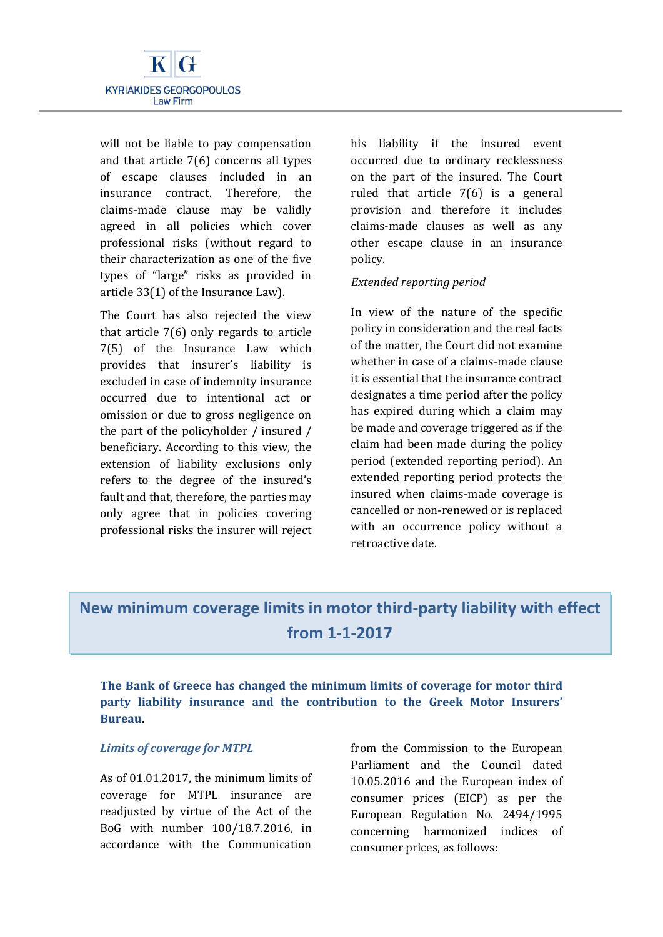

will not be liable to pay compensation and that article 7(6) concerns all types of escape clauses included in an insurance contract. Therefore, the claims-made clause may be validly agreed in all policies which cover professional risks (without regard to their characterization as one of the five types of "large" risks as provided in article 33(1) of the Insurance Law).

The Court has also rejected the view that article 7(6) only regards to article 7(5) of the Insurance Law which provides that insurer's liability is excluded in case of indemnity insurance occurred due to intentional act or omission or due to gross negligence on the part of the policyholder / insured / beneficiary. According to this view, the extension of liability exclusions only refers to the degree of the insured's fault and that, therefore, the parties may only agree that in policies covering professional risks the insurer will reject his liability if the insured event occurred due to ordinary recklessness on the part of the insured. The Court ruled that article 7(6) is a general provision and therefore it includes claims-made clauses as well as any other escape clause in an insurance policy.

#### *Extended reporting period*

In view of the nature of the specific policy in consideration and the real facts of the matter, the Court did not examine whether in case of a claims-made clause it is essential that the insurance contract designates a time period after the policy has expired during which a claim may be made and coverage triggered as if the claim had been made during the policy period (extended reporting period). An extended reporting period protects the insured when claims-made coverage is cancelled or non-renewed or is replaced with an occurrence policy without a retroactive date.

# **New minimum coverage limits in motor third-party liability with effect from 1-1-2017**

**The Bank of Greece has changed the minimum limits of coverage for motor third party liability insurance and the contribution to the Greek Motor Insurers' Bureau**.

### *Limits of coverage for MTPL*

As of 01.01.2017, the minimum limits of coverage for MTPL insurance are readjusted by virtue of the Act of the BoG with number 100/18.7.2016, in accordance with the Communication

from the Commission to the European Parliament and the Council dated 10.05.2016 and the European index of consumer prices (EICP) as per the European Regulation No. 2494/1995 concerning harmonized indices of consumer prices, as follows: